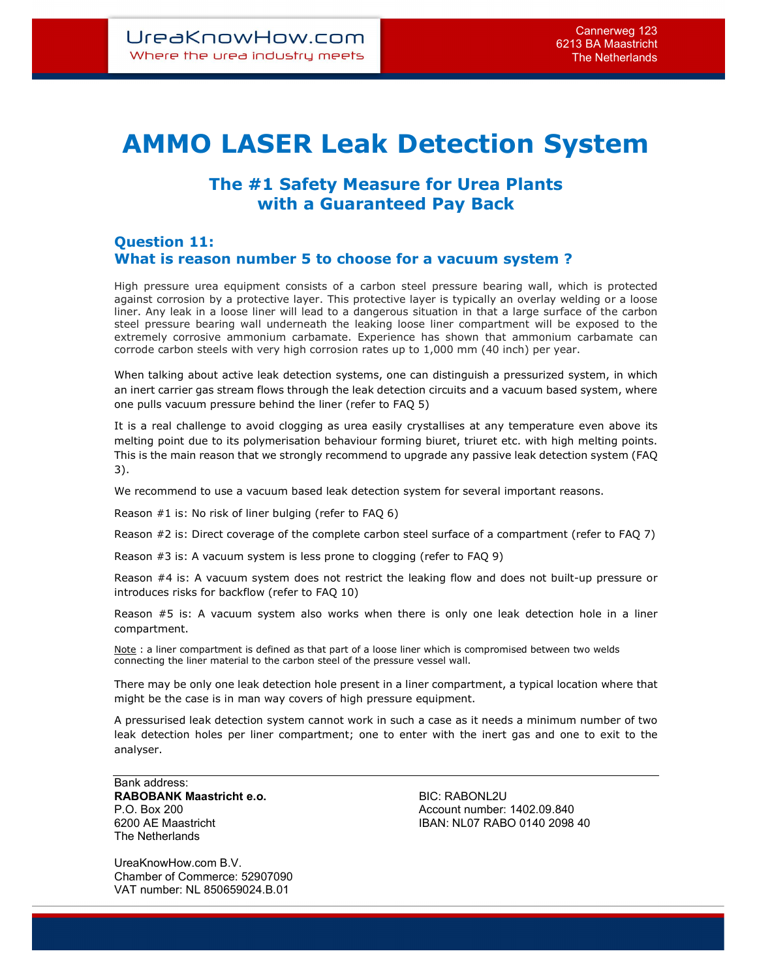## AMMO LASER Leak Detection System

## The #1 Safety Measure for Urea Plants with a Guaranteed Pay Back

## Question 11: What is reason number 5 to choose for a vacuum system ?

High pressure urea equipment consists of a carbon steel pressure bearing wall, which is protected against corrosion by a protective layer. This protective layer is typically an overlay welding or a loose liner. Any leak in a loose liner will lead to a dangerous situation in that a large surface of the carbon steel pressure bearing wall underneath the leaking loose liner compartment will be exposed to the extremely corrosive ammonium carbamate. Experience has shown that ammonium carbamate can corrode carbon steels with very high corrosion rates up to 1,000 mm (40 inch) per year.

When talking about active leak detection systems, one can distinguish a pressurized system, in which an inert carrier gas stream flows through the leak detection circuits and a vacuum based system, where one pulls vacuum pressure behind the liner (refer to FAQ 5)

It is a real challenge to avoid clogging as urea easily crystallises at any temperature even above its melting point due to its polymerisation behaviour forming biuret, triuret etc. with high melting points. This is the main reason that we strongly recommend to upgrade any passive leak detection system (FAQ 3).

We recommend to use a vacuum based leak detection system for several important reasons.

Reason #1 is: No risk of liner bulging (refer to FAQ 6)

Reason #2 is: Direct coverage of the complete carbon steel surface of a compartment (refer to FAQ 7)

Reason #3 is: A vacuum system is less prone to clogging (refer to FAQ 9)

Reason #4 is: A vacuum system does not restrict the leaking flow and does not built-up pressure or introduces risks for backflow (refer to FAQ 10)

Reason #5 is: A vacuum system also works when there is only one leak detection hole in a liner compartment.

Note : a liner compartment is defined as that part of a loose liner which is compromised between two welds connecting the liner material to the carbon steel of the pressure vessel wall.

There may be only one leak detection hole present in a liner compartment, a typical location where that might be the case is in man way covers of high pressure equipment.

A pressurised leak detection system cannot work in such a case as it needs a minimum number of two leak detection holes per liner compartment; one to enter with the inert gas and one to exit to the analyser.

Bank address: RABOBANK Maastricht e.o. BIC: RABONL2U The Netherlands

P.O. Box 200 **Account number: 1402.09.840** Account number: 1402.09.840 6200 AE Maastricht IBAN: NL07 RABO 0140 2098 40

UreaKnowHow.com B.V. Chamber of Commerce: 52907090 VAT number: NL 850659024.B.01

 $\overline{a}$